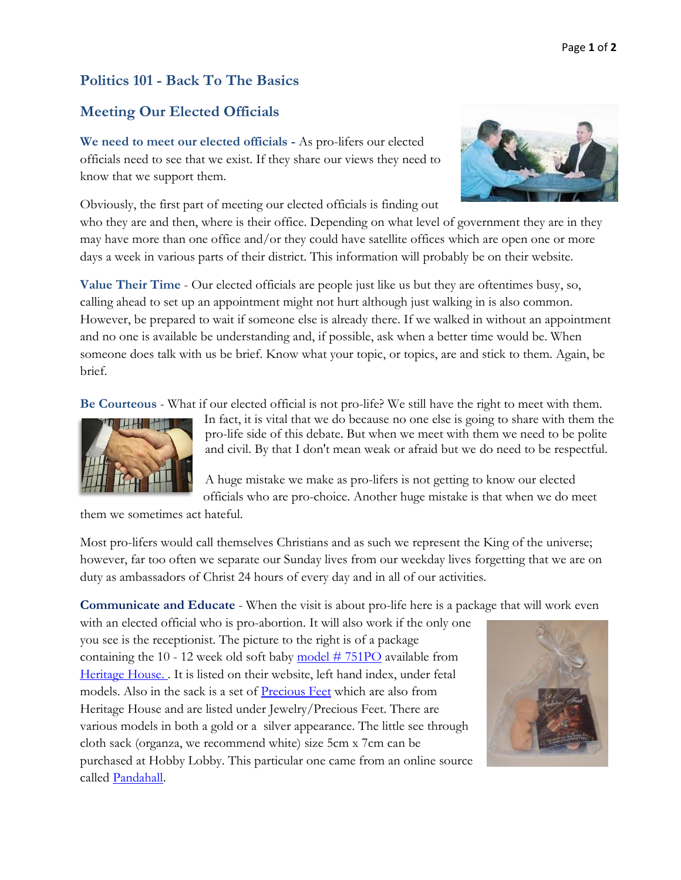## **Politics 101 - Back To The Basics**

## **Meeting Our Elected Officials**

**We need to meet our elected officials -** As pro-lifers our elected officials need to see that we exist. If they share our views they need to know that we support them.

Obviously, the first part of meeting our elected officials is finding out who they are and then, where is their office. Depending on what level of government they are in they may have more than one office and/or they could have satellite offices which are open one or more days a week in various parts of their district. This information will probably be on their website.

**Value Their Time** - Our elected officials are people just like us but they are oftentimes busy, so, calling ahead to set up an appointment might not hurt although just walking in is also common. However, be prepared to wait if someone else is already there. If we walked in without an appointment and no one is available be understanding and, if possible, ask when a better time would be. When someone does talk with us be brief. Know what your topic, or topics, are and stick to them. Again, be brief.

**Be Courteous** - What if our elected official is not pro-life? We still have the right to meet with them.



In fact, it is vital that we do because no one else is going to share with them the pro-life side of this debate. But when we meet with them we need to be polite and civil. By that I don't mean weak or afraid but we do need to be respectful.

A huge mistake we make as pro-lifers is not getting to know our elected officials who are pro-choice. Another huge mistake is that when we do meet

them we sometimes act hateful.

Most pro-lifers would call themselves Christians and as such we represent the King of the universe; however, far too often we separate our Sunday lives from our weekday lives forgetting that we are on duty as ambassadors of Christ 24 hours of every day and in all of our activities.

**Communicate and Educate** - When the visit is about pro-life here is a package that will work even

with an elected official who is pro-abortion. It will also work if the only one you see is the receptionist. The picture to the right is of a package containing the 10 - 12 week old soft baby  $\frac{\text{model}}{\text{# 751PO}}$  available from [Heritage House.](http://www.hh76.org/default.aspx) . It is listed on their website, left hand index, under fetal models. Also in the sack is a set of [Precious Feet](http://www.hh76.org/default.aspx?GroupID=141) which are also from Heritage House and are listed under Jewelry/Precious Feet. There are various models in both a gold or a silver appearance. The little see through cloth sack (organza, we recommend white) size 5cm x 7cm can be purchased at Hobby Lobby. This particular one came from an online source called [Pandahall.](http://www.pandahall.com/ProductSearch?keyword=organza-bags-white-5cmx7cm&areaType=NormalArea)